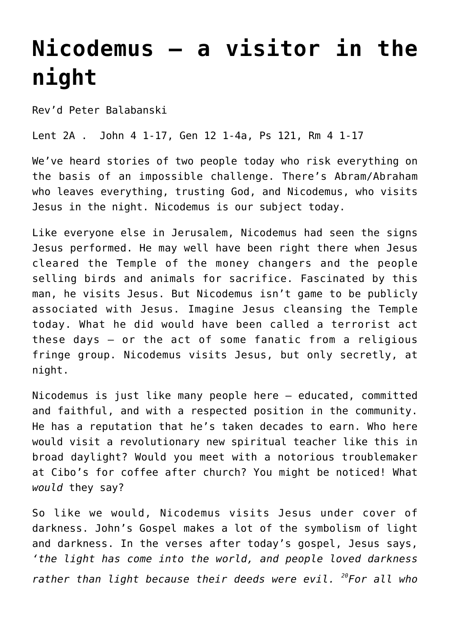## **[Nicodemus – a visitor in the](http://stjohnsadelaide.org.au/nicodemus-a-visitor-in-the-night/) [night](http://stjohnsadelaide.org.au/nicodemus-a-visitor-in-the-night/)**

Rev'd Peter Balabanski

Lent 2A . John 4 1-17, Gen 12 1-4a, Ps 121, Rm 4 1-17

We've heard stories of two people today who risk everything on the basis of an impossible challenge. There's Abram/Abraham who leaves everything, trusting God, and Nicodemus, who visits Jesus in the night. Nicodemus is our subject today.

Like everyone else in Jerusalem, Nicodemus had seen the signs Jesus performed. He may well have been right there when Jesus cleared the Temple of the money changers and the people selling birds and animals for sacrifice. Fascinated by this man, he visits Jesus. But Nicodemus isn't game to be publicly associated with Jesus. Imagine Jesus cleansing the Temple today. What he did would have been called a terrorist act these days – or the act of some fanatic from a religious fringe group. Nicodemus visits Jesus, but only secretly, at night.

Nicodemus is just like many people here – educated, committed and faithful, and with a respected position in the community. He has a reputation that he's taken decades to earn. Who here would visit a revolutionary new spiritual teacher like this in broad daylight? Would you meet with a notorious troublemaker at Cibo's for coffee after church? You might be noticed! What *would* they say?

So like we would, Nicodemus visits Jesus under cover of darkness. John's Gospel makes a lot of the symbolism of light and darkness. In the verses after today's gospel, Jesus says, *'the light has come into the world, and people loved darkness rather than light because their deeds were evil. <sup>20</sup>For all who*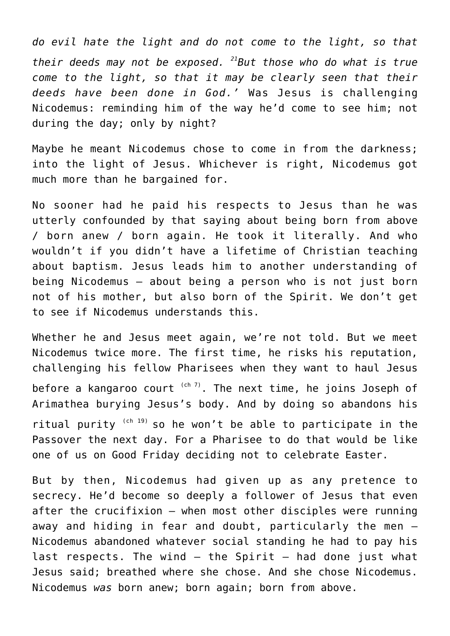*do evil hate the light and do not come to the light, so that their deeds may not be exposed. <sup>21</sup>But those who do what is true come to the light, so that it may be clearly seen that their deeds have been done in God.'* Was Jesus is challenging Nicodemus: reminding him of the way he'd come to see him; not during the day; only by night?

Maybe he meant Nicodemus chose to come in from the darkness; into the light of Jesus. Whichever is right, Nicodemus got much more than he bargained for.

No sooner had he paid his respects to Jesus than he was utterly confounded by that saying about being born from above / born anew / born again. He took it literally. And who wouldn't if you didn't have a lifetime of Christian teaching about baptism. Jesus leads him to another understanding of being Nicodemus – about being a person who is not just born not of his mother, but also born of the Spirit. We don't get to see if Nicodemus understands this.

Whether he and Jesus meet again, we're not told. But we meet Nicodemus twice more. The first time, he risks his reputation, challenging his fellow Pharisees when they want to haul Jesus before a kangaroo court  $(ch 7)$ . The next time, he joins Joseph of Arimathea burying Jesus's body. And by doing so abandons his ritual purity  $(ch 19)$  so he won't be able to participate in the Passover the next day. For a Pharisee to do that would be like one of us on Good Friday deciding not to celebrate Easter.

But by then, Nicodemus had given up as any pretence to secrecy. He'd become so deeply a follower of Jesus that even after the crucifixion – when most other disciples were running away and hiding in fear and doubt, particularly the men – Nicodemus abandoned whatever social standing he had to pay his last respects. The wind  $-$  the Spirit  $-$  had done just what Jesus said; breathed where she chose. And she chose Nicodemus. Nicodemus *was* born anew; born again; born from above.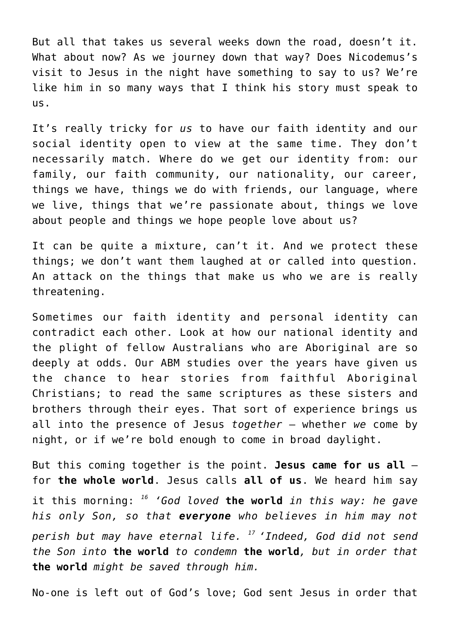But all that takes us several weeks down the road, doesn't it. What about now? As we journey down that way? Does Nicodemus's visit to Jesus in the night have something to say to us? We're like him in so many ways that I think his story must speak to us.

It's really tricky for *us* to have our faith identity and our social identity open to view at the same time. They don't necessarily match. Where do we get our identity from: our family, our faith community, our nationality, our career, things we have, things we do with friends, our language, where we live, things that we're passionate about, things we love about people and things we hope people love about us?

It can be quite a mixture, can't it. And we protect these things; we don't want them laughed at or called into question. An attack on the things that make us who we are is really threatening.

Sometimes our faith identity and personal identity can contradict each other. Look at how our national identity and the plight of fellow Australians who are Aboriginal are so deeply at odds. Our ABM studies over the years have given us the chance to hear stories from faithful Aboriginal Christians; to read the same scriptures as these sisters and brothers through their eyes. That sort of experience brings us all into the presence of Jesus *together* – whether *we* come by night, or if we're bold enough to come in broad daylight.

But this coming together is the point. **Jesus came for us all** – for **the whole world**. Jesus calls **all of us**. We heard him say it this morning: *<sup>16</sup> 'God loved* **the world** *in this way: he gave his only Son, so that everyone who believes in him may not perish but may have eternal life. <sup>17</sup>'Indeed, God did not send the Son into* **the world** *to condemn* **the world***, but in order that* **the world** *might be saved through him.*

No-one is left out of God's love; God sent Jesus in order that